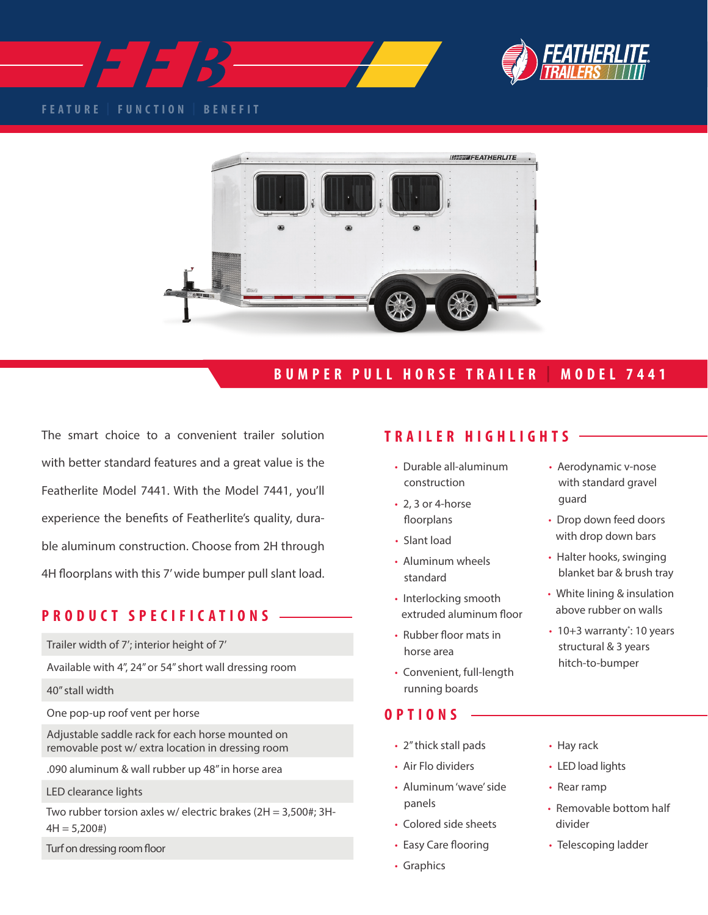



### **FEATURE | FUNCTION | BENEFIT**



## **BUMPER PULL HORSE TRAILER | MODEL 7441**

The smart choice to a convenient trailer solution **TRAILER HIGHLIGHTS** with better standard features and a great value is the Featherlite Model 7441. With the Model 7441, you'll experience the benefits of Featherlite's quality, durable aluminum construction. Choose from 2H through 4H floorplans with this 7' wide bumper pull slant load.

## **PRODUCT SPECIFICATIONS**

Trailer width of 7'; interior height of 7'

Available with 4", 24" or 54" short wall dressing room

- 40" stall width
- One pop-up roof vent per horse

Adjustable saddle rack for each horse mounted on removable post w/ extra location in dressing room

.090 aluminum & wall rubber up 48" in horse area

LED clearance lights

Two rubber torsion axles w/ electric brakes (2H = 3,500#; 3H- $4H = 5,200#$ 

Turf on dressing room floor

- Durable all-aluminum construction
- 2, 3 or 4-horse floorplans
- Slant load
- Aluminum wheels standard
- Interlocking smooth extruded aluminum floor
- Rubber floor mats in horse area
- Convenient, full-length running boards

### **OPTIONS**

- 2" thick stall pads
- Air Flo dividers
- Aluminum 'wave' side panels
- Colored side sheets
- Easy Care flooring
- Graphics
- Aerodynamic v-nose with standard gravel guard
- Drop down feed doors with drop down bars
- Halter hooks, swinging blanket bar & brush tray
- White lining & insulation above rubber on walls
- 10+3 warranty\*: 10 years structural & 3 years hitch-to-bumper
	- Hay rack
	- LED load lights
- Rear ramp
- Removable bottom half divider
- Telescoping ladder